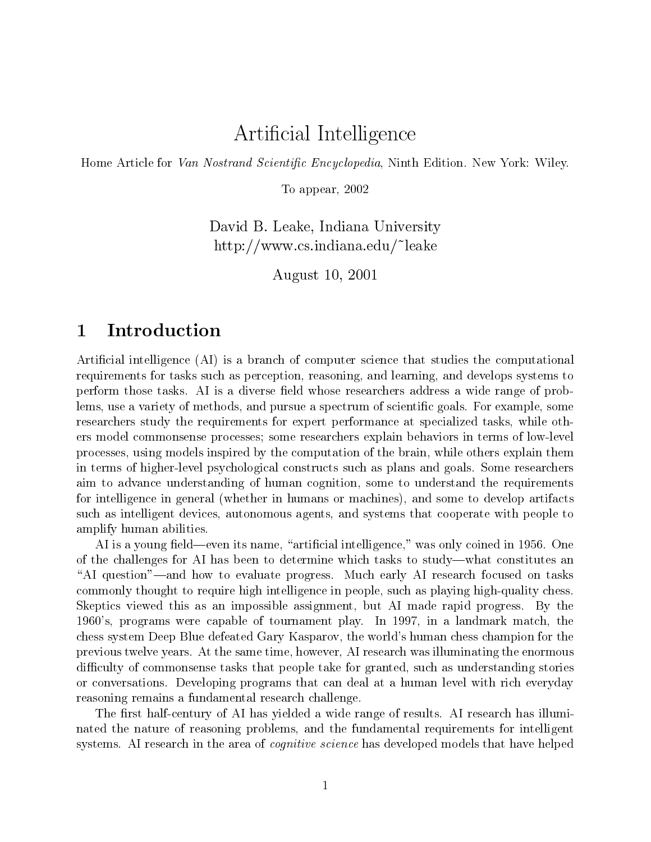# Articial Intelligence

Home Article for Van Nostrand Scientific Encyclopedia, Ninth Edition. New York: Wiley.

To appear, 2002

David B. Leake, Indiana University http://www.cs.indiana.edu/~leake

August 10, 2001

### 1 Introduction

Articial intelligence (AI) is a branch of computer science that studies the computational requirements for tasks such as perception, reasoning, and learning, and develops systems to perform those tasks. AI is a diverse field whose researchers address a wide range of problems, use a variety of methods, and pursue a spectrum of scientific goals. For example, some researchers study the requirements for expert performance at specialized tasks, while others model commonsense processes; some researchers explain behaviors in terms of low-level processes, using models inspired by the computation of the brain, while others explain them in terms of higher-level psychological constructs such as plans and goals. Some researchers aim to advance understanding of human cognition, some to understand the requirements for intelligence in general (whether in humans or machines), and some to develop artifacts such as intelligent devices, autonomous agents, and systems that cooperate with people to amplify human abilities.

AI is a young field—even its name, "artificial intelligence," was only coined in 1956. One of the challenges for AI has been to determine which tasks to study—what constitutes an "AI question"—and how to evaluate progress. Much early AI research focused on tasks commonly thought to require high intelligence in people, such as playing high-quality chess. Skeptics viewed this as an impossible assignment, but AI made rapid progress. By the 1960's, programs were capable of tournament play. In 1997, in a landmark match, the chess system Deep Blue defeated Gary Kasparov, the world's human chess champion for the previous twelve years. At the same time, however, AI research was illuminating the enormous difficulty of commonsense tasks that people take for granted, such as understanding stories or conversations. Developing programs that can deal at a human level with rich everyday reasoning remains a fundamental research challenge.

The first half-century of AI has yielded a wide range of results. AI research has illuminated the nature of reasoning problems, and the fundamental requirements for intelligent systems. AI research in the area of *cognitive science* has developed models that have helped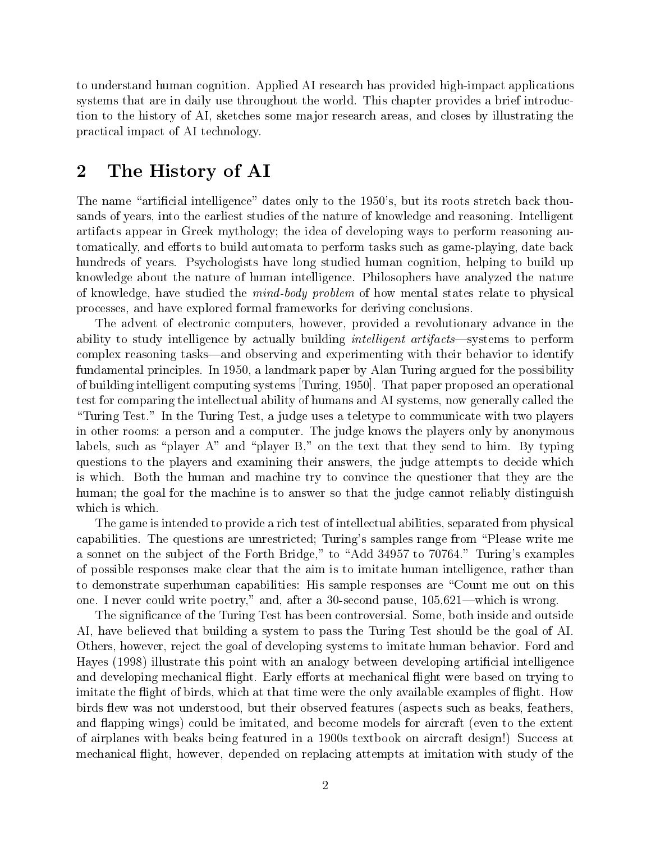to understand human cognition. Applied AI research has provided high-impact applications systems that are in daily use throughout the world. This chapter provides a brief introduction to the history of AI, sketches some major research areas, and closes by illustrating the practical impact of AI technology.

## 2 The History of AI

The name "artificial intelligence" dates only to the 1950's, but its roots stretch back thousands of years, into the earliest studies of the nature of knowledge and reasoning. Intelligent artifacts appear in Greek mythology; the idea of developing ways to perform reasoning automatically, and efforts to build automata to perform tasks such as game-playing, date back hundreds of years. Psychologists have long studied human cognition, helping to build up knowledge about the nature of human intelligence. Philosophers have analyzed the nature of knowledge, have studied the mind-body problem of how mental states relate to physical processes, and have explored formal frameworks for deriving conclusions.

The advent of electronic computers, however, provided a revolutionary advance in the ability to study intelligence by actually building *intelligent artifacts*—systems to perform complex reasoning tasks—and observing and experimenting with their behavior to identify fundamental principles. In 1950, a landmark paper by Alan Turing argued for the possibility of building intelligent computing systems [Turing, 1950]. That paper proposed an operational test for comparing the intellectual ability of humans and AI systems, now generally called the "Turing Test." In the Turing Test, a judge uses a teletype to communicate with two players in other rooms: a person and a computer. The judge knows the players only by anonymous labels, such as "player A" and "player B," on the text that they send to him. By typing questions to the players and examining their answers, the judge attempts to decide which is which. Both the human and machine try to convince the questioner that they are the human; the goal for the machine is to answer so that the judge cannot reliably distinguish which is which.

The game is intended to provide a rich test of intellectual abilities, separated from physical capabilities. The questions are unrestricted; Turing's samples range from \Please write me a sonnet on the subject of the Forth Bridge," to "Add 34957 to 70764." Turing's examples of possible responses make clear that the aim is to imitate human intelligence, rather than to demonstrate superhuman capabilities: His sample responses are \Count me out on this one. I never could write poetry," and, after a 30-second pause,  $105,621$ —which is wrong.

The signicance of the Turing Test has been controversial. Some, both inside and outside AI, have believed that building a system to pass the Turing Test should be the goal of AI. Others, however, reject the goal of developing systems to imitate human behavior. Ford and Hayes (1998) illustrate this point with an analogy between developing articial intelligence and developing mechanical flight. Early efforts at mechanical flight were based on trying to imitate the flight of birds, which at that time were the only available examples of flight. How birds flew was not understood, but their observed features (aspects such as beaks, feathers, and flapping wings) could be imitated, and become models for aircraft (even to the extent of airplanes with beaks being featured in a 1900s textbook on aircraft design!) Success at mechanical flight, however, depended on replacing attempts at imitation with study of the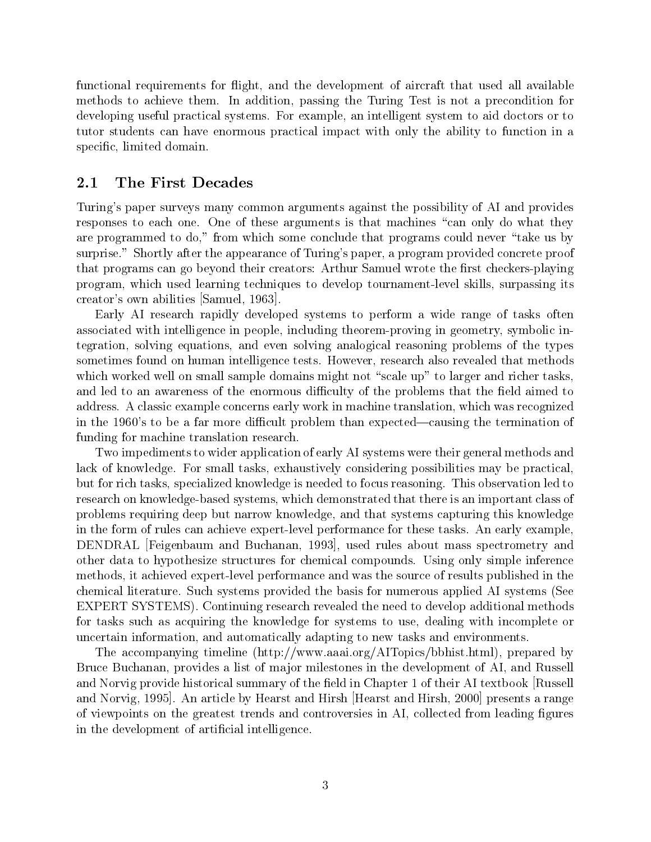functional requirements for flight, and the development of aircraft that used all available methods to achieve them. In addition, passing the Turing Test is not a precondition for developing useful practical systems. For example, an intelligent system to aid doctors or to tutor students can have enormous practical impact with only the ability to function in a specific, limited domain.

#### 2.1The First Decades

Turing's paper surveys many common arguments against the possibility of AI and provides responses to each one. One of these arguments is that machines "can only do what they are programmed to do," from which some conclude that programs could never "take us by surprise." Shortly after the appearance of Turing's paper, a program provided concrete proof that programs can go beyond their creators: Arthur Samuel wrote the first checkers-playing program, which used learning techniques to develop tournament-level skills, surpassing its creator's own abilities [Samuel, 1963].

Early AI research rapidly developed systems to perform a wide range of tasks often associated with intelligence in people, including theorem-proving in geometry, symbolic integration, solving equations, and even solving analogical reasoning problems of the types sometimes found on human intelligence tests. However, research also revealed that methods which worked well on small sample domains might not "scale up" to larger and richer tasks, and led to an awareness of the enormous difficulty of the problems that the field aimed to address. A classic example concerns early work in machine translation, which was recognized in the 1960's to be a far more difficult problem than expected—causing the termination of funding for machine translation research.

Two impediments to wider application of early AI systems were their general methods and lack of knowledge. For small tasks, exhaustively considering possibilities may be practical, but for rich tasks, specialized knowledge is needed to focus reasoning. This observation led to research on knowledge-based systems, which demonstrated that there is an important class of problems requiring deep but narrow knowledge, and that systems capturing this knowledge in the form of rules can achieve expert-level performance for these tasks. An early example, DENDRAL Feigenbaum and Buchanan, 1993, used rules about mass spectrometry and other data to hypothesize structures for chemical compounds. Using only simple inference methods, it achieved expert-level performance and was the source of results published in the chemical literature. Such systems provided the basis for numerous applied AI systems (See EXPERT SYSTEMS). Continuing research revealed the need to develop additional methods for tasks such as acquiring the knowledge for systems to use, dealing with incomplete or uncertain information, and automatically adapting to new tasks and environments.

The accompanying timeline (http://www.aaai.org/AITopics/bbhist.html), prepared by Bruce Buchanan, provides a list of major milestones in the development of AI, and Russell and Norvig provide historical summary of the field in Chapter 1 of their AI textbook Russell and Norvig, 1995]. An article by Hearst and Hirsh [Hearst and Hirsh, 2000] presents a range of viewpoints on the greatest trends and controversies in AI, collected from leading gures in the development of articial intelligence.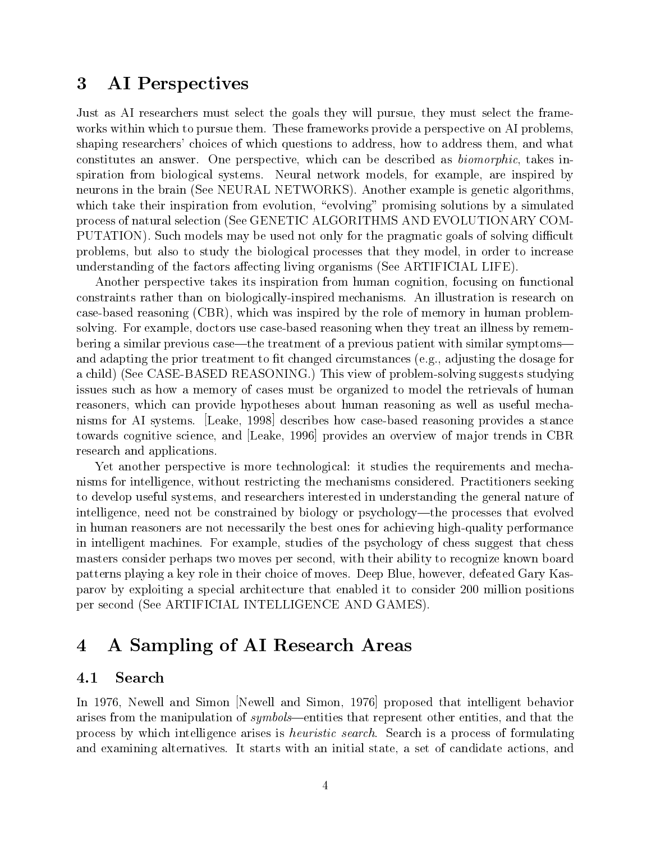### 3 AI Perspectives

Just as AI researchers must select the goals they will pursue, they must select the frameworks within which to pursue them. These frameworks provide a perspective on AI problems. shaping researchers' choices of which questions to address, how to address them, and what constitutes an answer. One perspective, which can be described as biomorphic, takes inspiration from biological systems. Neural network models, for example, are inspired by neurons in the brain (See NEURAL NETWORKS). Another example is genetic algorithms, which take their inspiration from evolution, "evolving" promising solutions by a simulated process of natural selection (See GENETIC ALGORITHMS AND EVOLUTIONARY COM-PUTATION). Such models may be used not only for the pragmatic goals of solving difficult problems, but also to study the biological processes that they model, in order to increase understanding of the factors affecting living organisms (See ARTIFICIAL LIFE).

Another perspective takes its inspiration from human cognition, focusing on functional constraints rather than on biologically-inspired mechanisms. An illustration is research on case-based reasoning (CBR), which was inspired by the role of memory in human problemsolving. For example, doctors use case-based reasoning when they treat an illness by remembering a similar previous case—the treatment of a previous patient with similar symptoms and adapting the prior treatment to fit changed circumstances  $(e.g.,$  adjusting the dosage for a child) (See CASE-BASED REASONING.) This view of problem-solving suggests studying issues such as how a memory of cases must be organized to model the retrievals of human reasoners, which can provide hypotheses about human reasoning as well as useful mechanisms for AI systems. [Leake, 1998] describes how case-based reasoning provides a stance towards cognitive science, and [Leake, 1996] provides an overview of major trends in CBR research and applications.

Yet another perspective is more technological: it studies the requirements and mechanisms for intelligence, without restricting the mechanisms considered. Practitioners seeking to develop useful systems, and researchers interested in understanding the general nature of intelligence, need not be constrained by biology or psychology—the processes that evolved in human reasoners are not necessarily the best ones for achieving high-quality performance in intelligent machines. For example, studies of the psychology of chess suggest that chess masters consider perhaps two moves per second, with their ability to recognize known board patterns playing a key role in their choice of moves. Deep Blue, however, defeated Gary Kasparov by exploiting a special architecture that enabled it to consider 200 million positions per second (See ARTIFICIAL INTELLIGENCE AND GAMES).

## 4 A Sampling of AI Research Areas

#### 4.1Search

In 1976, Newell and Simon [Newell and Simon, 1976] proposed that intelligent behavior arises from the manipulation of *symbols*—entities that represent other entities, and that the process by which intelligence arises is heuristic search. Search is a process of formulating and examining alternatives. It starts with an initial state, a set of candidate actions, and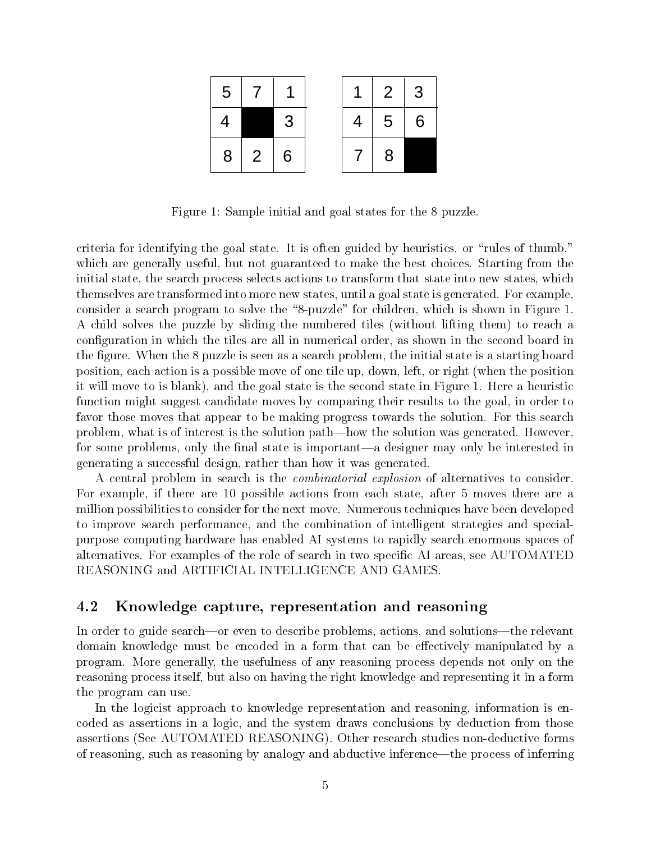| 5 |                |   |   | 2               | $\mathbf{3}$ |
|---|----------------|---|---|-----------------|--------------|
|   |                | 3 | 4 | $5\overline{)}$ | 6            |
| 8 | $\overline{2}$ | 6 |   | 8               |              |

Figure 1: Sample initial and goal states for the 8 puzzle.

criteria for identifying the goal state. It is often guided by heuristics, or \rules of thumb," which are generally useful, but not guaranteed to make the best choices. Starting from the initial state, the search process selects actions to transform that state into new states, which themselves are transformed into more new states, until a goal state is generated. For example, consider a search program to solve the \8-puzzle" for children, which is shown in Figure 1. A child solves the puzzle by sliding the numbered tiles (without lifting them) to reach a conguration in which the tiles are all in numerical order, as shown in the second board in the figure. When the 8 puzzle is seen as a search problem, the initial state is a starting board position, each action is a possible move of one tile up, down, left, or right (when the position it will move to is blank), and the goal state is the second state in Figure 1. Here a heuristic function might suggest candidate moves by comparing their results to the goal, in order to favor those moves that appear to be making progress towards the solution. For this search problem, what is of interest is the solution path—how the solution was generated. However, for some problems, only the final state is important—a designer may only be interested in generating a successful design, rather than how it was generated.

A central problem in search is the *combinatorial explosion* of alternatives to consider. For example, if there are 10 possible actions from each state, after 5 moves there are a million possibilities to consider for the next move. Numerous techniques have been developed to improve search performance, and the combination of intelligent strategies and specialpurpose computing hardware has enabled AI systems to rapidly search enormous spaces of alternatives. For examples of the role of search in two specic AI areas, see AUTOMATED REASONING and ARTIFICIAL INTELLIGENCE AND GAMES.

#### 4.2Knowledge capture, representation and reasoning

In order to guide search—or even to describe problems, actions, and solutions—the relevant domain knowledge must be encoded in a form that can be effectively manipulated by a program. More generally, the usefulness of any reasoning process depends not only on the reasoning process itself, but also on having the right knowledge and representing it in a form the program can use.

In the logicist approach to knowledge representation and reasoning, information is encoded as assertions in a logic, and the system draws conclusions by deduction from those assertions (See AUTOMATED REASONING). Other research studies non-deductive forms of reasoning, such as reasoning by analogy and abductive inference—the process of inferring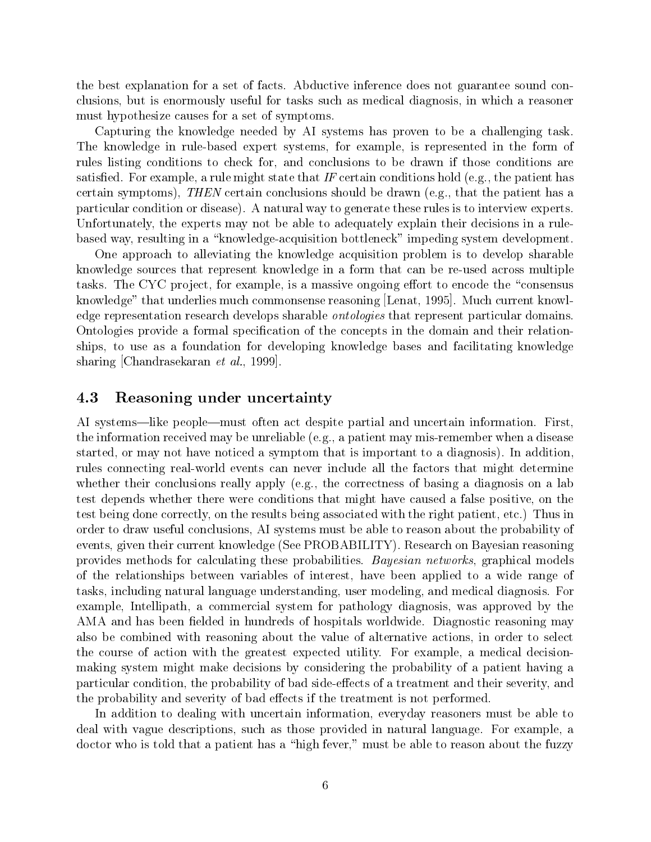the best explanation for a set of facts. Abductive inference does not guarantee sound conclusions, but is enormously useful for tasks such as medical diagnosis, in which a reasoner must hypothesize causes for a set of symptoms.

Capturing the knowledge needed by AI systems has proven to be a challenging task. The knowledge in rule-based expert systems, for example, is represented in the form of rules listing conditions to check for, and conclusions to be drawn if those conditions are satisfied. For example, a rule might state that IF certain conditions hold (e.g., the patient has certain symptoms), THEN certain conclusions should be drawn (e.g., that the patient has a particular condition or disease). A natural way to generate these rules is to interview experts. Unfortunately, the experts may not be able to adequately explain their decisions in a rulebased way, resulting in a "knowledge-acquisition bottleneck" impeding system development.

One approach to alleviating the knowledge acquisition problem is to develop sharable knowledge sources that represent knowledge in a form that can be re-used across multiple tasks. The CYC project, for example, is a massive ongoing effort to encode the "consensus knowledge" that underlies much commonsense reasoning [Lenat, 1995]. Much current knowledge representation research develops sharable ontologies that represent particular domains. Ontologies provide a formal specification of the concepts in the domain and their relationships, to use as a foundation for developing knowledge bases and facilitating knowledge sharing [Chandrasekaran et al., 1999].

#### 4.3Reasoning under uncertainty

AI systems—like people—must often act despite partial and uncertain information. First, the information received may be unreliable (e.g., a patient may mis-remember when a disease started, or may not have noticed a symptom that is important to a diagnosis). In addition, rules connecting real-world events can never include all the factors that might determine whether their conclusions really apply (e.g., the correctness of basing a diagnosis on a lab test depends whether there were conditions that might have caused a false positive, on the test being done correctly, on the results being associated with the right patient, etc.) Thus in order to draw useful conclusions, AI systems must be able to reason about the probability of events, given their current knowledge (See PROBABILITY). Research on Bayesian reasoning provides methods for calculating these probabilities. Bayesian networks, graphical models of the relationships between variables of interest, have been applied to a wide range of tasks, including natural language understanding, user modeling, and medical diagnosis. For example, Intellipath, a commercial system for pathology diagnosis, was approved by the AMA and has been fielded in hundreds of hospitals worldwide. Diagnostic reasoning may also be combined with reasoning about the value of alternative actions, in order to select the course of action with the greatest expected utility. For example, a medical decisionmaking system might make decisions by considering the probability of a patient having a particular condition, the probability of bad side-effects of a treatment and their severity, and the probability and severity of bad effects if the treatment is not performed.

In addition to dealing with uncertain information, everyday reasoners must be able to deal with vague descriptions, such as those provided in natural language. For example, a doctor who is told that a patient has a "high fever," must be able to reason about the fuzzy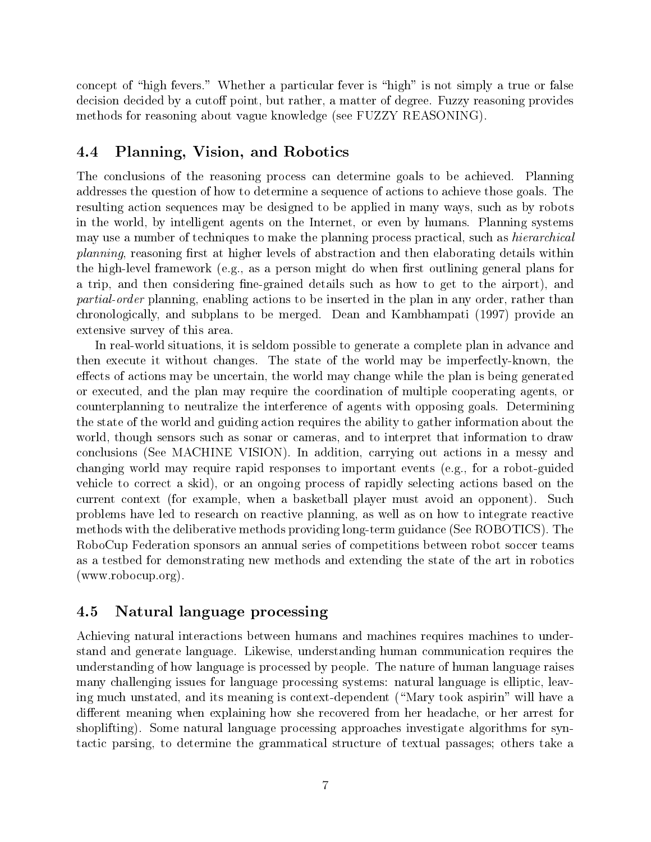concept of "high fevers." Whether a particular fever is "high" is not simply a true or false decision decided by a cutoff point, but rather, a matter of degree. Fuzzy reasoning provides methods for reasoning about vague knowledge (see FUZZY REASONING).

#### 4.4Planning, Vision, and Robotics

The conclusions of the reasoning process can determine goals to be achieved. Planning addresses the question of how to determine a sequence of actions to achieve those goals. The resulting action sequences may be designed to be applied in many ways, such as by robots in the world, by intelligent agents on the Internet, or even by humans. Planning systems may use a number of techniques to make the planning process practical, such as hierarchical  $planning$ , reasoning first at higher levels of abstraction and then elaborating details within the high-level framework (e.g., as a person might do when first outlining general plans for a trip, and then considering fine-grained details such as how to get to the airport), and partial-order planning, enabling actions to be inserted in the plan in any order, rather than chronologically, and subplans to be merged. Dean and Kambhampati (1997) provide an extensive survey of this area.

In real-world situations, it is seldom possible to generate a complete plan in advance and then execute it without changes. The state of the world may be imperfectly-known, the effects of actions may be uncertain, the world may change while the plan is being generated or executed, and the plan may require the coordination of multiple cooperating agents, or counterplanning to neutralize the interference of agents with opposing goals. Determining the state of the world and guiding action requires the ability to gather information about the world, though sensors such as sonar or cameras, and to interpret that information to draw conclusions (See MACHINE VISION). In addition, carrying out actions in a messy and changing world may require rapid responses to important events (e.g., for a robot-guided vehicle to correct a skid), or an ongoing process of rapidly selecting actions based on the current context (for example, when a basketball player must avoid an opponent). Such problems have led to research on reactive planning, as well as on how to integrate reactive methods with the deliberative methods providing long-term guidance (See ROBOTICS). The RoboCup Federation sponsors an annual series of competitions between robot soccer teams as a testbed for demonstrating new methods and extending the state of the art in robotics (www.robocup.org).

### Natural language processing

Achieving natural interactions between humans and machines requires machines to understand and generate language. Likewise, understanding human communication requires the understanding of how language is processed by people. The nature of human language raises many challenging issues for language processing systems: natural language is elliptic, leaving much unstated, and its meaning is context-dependent ("Mary took aspirin" will have a different meaning when explaining how she recovered from her headache, or her arrest for shoplifting). Some natural language processing approaches investigate algorithms for syntactic parsing, to determine the grammatical structure of textual passages; others take a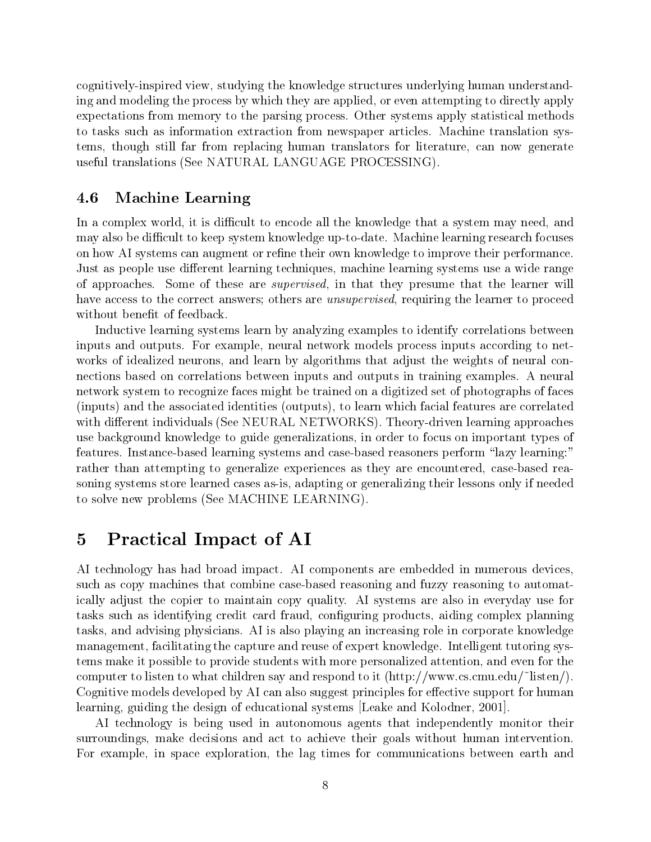cognitively-inspired view, studying the knowledge structures underlying human understanding and modeling the process by which they are applied, or even attempting to directly apply expectations from memory to the parsing process. Other systems apply statistical methods to tasks such as information extraction from newspaper articles. Machine translation systems, though still far from replacing human translators for literature, can now generate useful translations (See NATURAL LANGUAGE PROCESSING).

#### 4.6Machine Learning

In a complex world, it is difficult to encode all the knowledge that a system may need, and may also be difficult to keep system knowledge up-to-date. Machine learning research focuses on how AI systems can augment or refine their own knowledge to improve their performance. Just as people use different learning techniques, machine learning systems use a wide range of approaches. Some of these are supervised, in that they presume that the learner will have access to the correct answers; others are *unsupervised*, requiring the learner to proceed without benefit of feedback.

Inductive learning systems learn by analyzing examples to identify correlations between inputs and outputs. For example, neural network models process inputs according to networks of idealized neurons, and learn by algorithms that adjust the weights of neural connections based on correlations between inputs and outputs in training examples. A neural network system to recognize faces might be trained on a digitized set of photographs of faces (inputs) and the associated identities (outputs), to learn which facial features are correlated with different individuals (See NEURAL NETWORKS). Theory-driven learning approaches use background knowledge to guide generalizations, in order to focus on important types of features. Instance-based learning systems and case-based reasoners perform \lazy learning:" rather than attempting to generalize experiences as they are encountered, case-based reasoning systems store learned cases as-is, adapting or generalizing their lessons only if needed to solve new problems (See MACHINE LEARNING).

#### 5 Practical Impact of AI  $\overline{5}$

AI technology has had broad impact. AI components are embedded in numerous devices, such as copy machines that combine case-based reasoning and fuzzy reasoning to automatically adjust the copier to maintain copy quality. AI systems are also in everyday use for tasks such as identifying credit card fraud, conguring products, aiding complex planning tasks, and advising physicians. AI is also playing an increasing role in corporate knowledge management, facilitating the capture and reuse of expert knowledge. Intelligent tutoring systems make it possible to provide students with more personalized attention, and even for the computer to listen to what children say and respond to it  $(\frac{http://www.cs.cmu.edu/~listen/)}$ . Cognitive models developed by AI can also suggest principles for effective support for human learning, guiding the design of educational systems [Leake and Kolodner, 2001].

AI technology is being used in autonomous agents that independently monitor their surroundings, make decisions and act to achieve their goals without human intervention. For example, in space exploration, the lag times for communications between earth and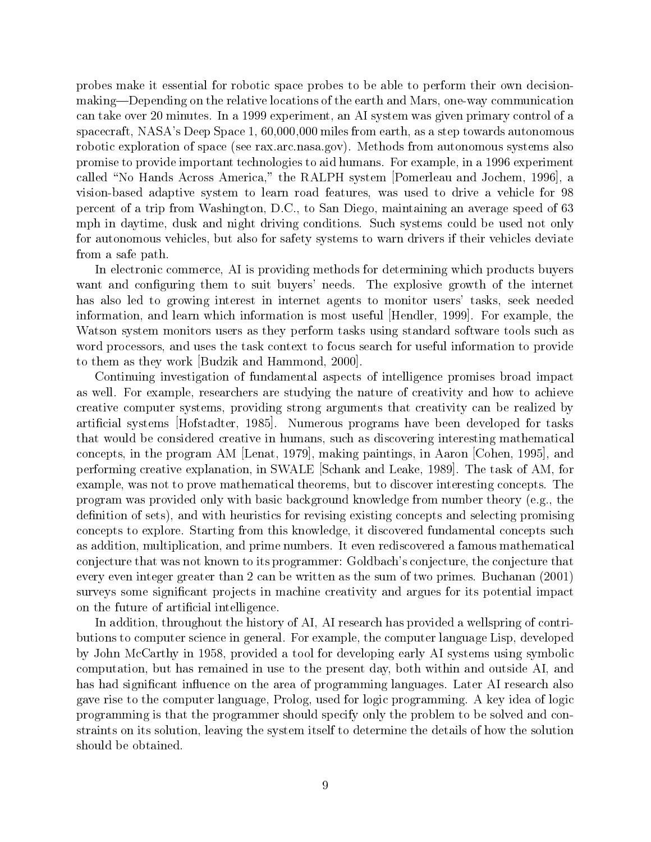probes make it essential for robotic space probes to be able to perform their own decisionmaking-Depending on the relative locations of the earth and Mars, one-way communication can take over 20 minutes. In a 1999 experiment, an AI system was given primary control of a spacecraft, NASA's Deep Space 1, 60,000,000 miles from earth, as a step towards autonomous robotic exploration of space (see rax.arc.nasa.gov). Methods from autonomous systems also promise to provide important technologies to aid humans. For example, in a 1996 experiment called "No Hands Across America," the RALPH system [Pomerleau and Jochem, 1996], a vision-based adaptive system to learn road features, was used to drive a vehicle for 98 percent of a trip from Washington, D.C., to San Diego, maintaining an average speed of 63 mph in daytime, dusk and night driving conditions. Such systems could be used not only for autonomous vehicles, but also for safety systems to warn drivers if their vehicles deviate from a safe path.

In electronic commerce, AI is providing methods for determining which products buyers want and configuring them to suit buyers' needs. The explosive growth of the internet has also led to growing interest in internet agents to monitor users' tasks, seek needed information, and learn which information is most useful [Hendler, 1999]. For example, the Watson system monitors users as they perform tasks using standard software tools such as word processors, and uses the task context to focus search for useful information to provide to them as they work [Budzik and Hammond, 2000].

Continuing investigation of fundamental aspects of intelligence promises broad impact as well. For example, researchers are studying the nature of creativity and how to achieve creative computer systems, providing strong arguments that creativity can be realized by articial systems [Hofstadter, 1985]. Numerous programs have been developed for tasks that would be considered creative in humans, such as discovering interesting mathematical concepts, in the program AM [Lenat, 1979], making paintings, in Aaron [Cohen, 1995], and performing creative explanation, in SWALE [Schank and Leake, 1989]. The task of AM, for example, was not to prove mathematical theorems, but to discover interesting concepts. The program was provided only with basic background knowledge from number theory (e.g., the definition of sets), and with heuristics for revising existing concepts and selecting promising concepts to explore. Starting from this knowledge, it discovered fundamental concepts such as addition, multiplication, and prime numbers. It even rediscovered a famous mathematical conjecture that was not known to its programmer: Goldbach's conjecture, the conjecture that every even integer greater than 2 can be written as the sum of two primes. Buchanan (2001) surveys some significant projects in machine creativity and argues for its potential impact on the future of articial intelligence.

In addition, throughout the history of AI, AI research has provided a wellspring of contributions to computer science in general. For example, the computer language Lisp, developed by John McCarthy in 1958, provided a tool for developing early AI systems using symbolic computation, but has remained in use to the present day, both within and outside AI, and has had significant influence on the area of programming languages. Later AI research also gave rise to the computer language, Prolog, used for logic programming. A key idea of logic programming is that the programmer should specify only the problem to be solved and constraints on its solution, leaving the system itself to determine the details of how the solution should be obtained.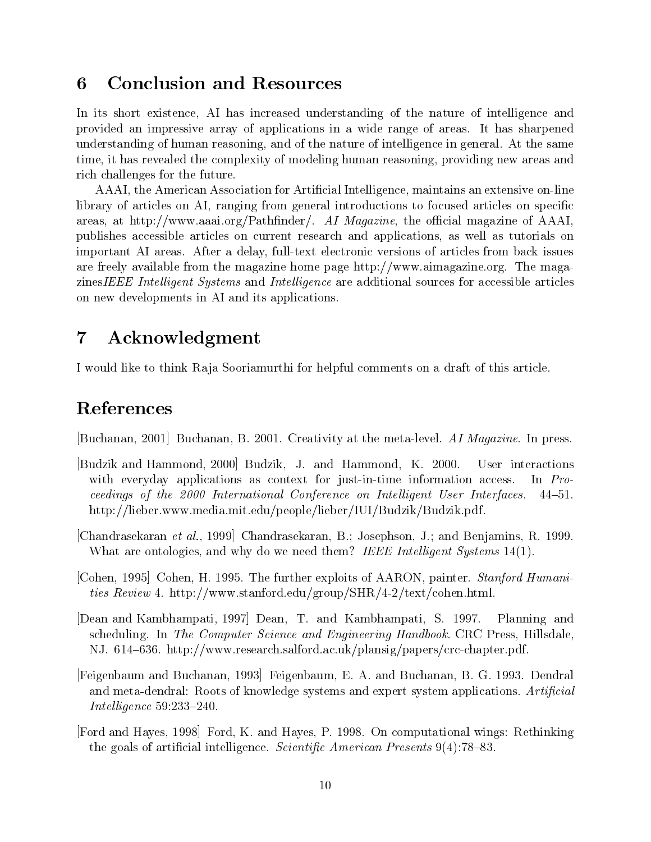#### 6 Conclusion and Resources 6

In its short existence, AI has increased understanding of the nature of intelligence and provided an impressive array of applications in a wide range of areas. It has sharpened understanding of human reasoning, and of the nature of intelligence in general. At the same time, it has revealed the complexity of modeling human reasoning, providing new areas and rich challenges for the future.

AAAI, the American Association for Artificial Intelligence, maintains an extensive on-line library of articles on AI, ranging from general introductions to focused articles on specific areas, at http://www.aaai.org/Pathfinder/. AI Magazine, the official magazine of AAAI, publishes accessible articles on current research and applications, as well as tutorials on important AI areas. After a delay, full-text electronic versions of articles from back issues are freely available from the magazine home page http://www.aimagazine.org. The magazinesIEEE Intelligent Systems and Intelligence are additional sources for accessible articles on new developments in AIand its applications.

## 7 Acknowledgment

I would like to think Raja Sooriamurthi for helpful comments on a draft of this article.

### References

[Buchanan, 2001] Buchanan, B. 2001. Creativity at the meta-level. AI Magazine. In press.

- [Budzik and Hammond, 2000] Budzik, J. and Hammond, K. 2000. User interactions with everyday applications as context for just-in-time information access. In Proceedings of the  $2000$  International Conference on Intelligent User Interfaces.  $44-51$ . http://lieber.www.media.mit.edu/people/lieber/IUI/Budzik/Budzik.pdf.
- [Chandrasekaran et al., 1999] Chandrasekaran, B.; Josephson, J.; and Benjamins, R. 1999. What are ontologies, and why do we need them? IEEE Intelligent Systems 14(1).
- [Cohen, 1995] Cohen, H. 1995. The further exploits of AARON, painter. Stanford Humanities Review 4. http://www.stanford.edu/group/SHR/4-2/text/cohen.html.
- [Dean and Kambhampati, 1997] Dean, T. and Kambhampati, S. 1997. Planning and scheduling. In The Computer Science and Engineering Handbook. CRC Press, Hillsdale, NJ. 614{636. http://www.research.salford.ac.uk/plansig/papers/crc-chapter.pdf.
- [Feigenbaum and Buchanan, 1993] Feigenbaum, E. A. and Buchanan, B. G. 1993. Dendral and meta-dendral: Roots of knowledge systems and expert system applications. Artificial Intelligence  $59:233-240$ .
- [Ford and Hayes, 1998] Ford, K. and Hayes, P. 1998. On computational wings: Rethinking the goals of artificial intelligence. Scientific American Presents  $9(4)$ :78-83.